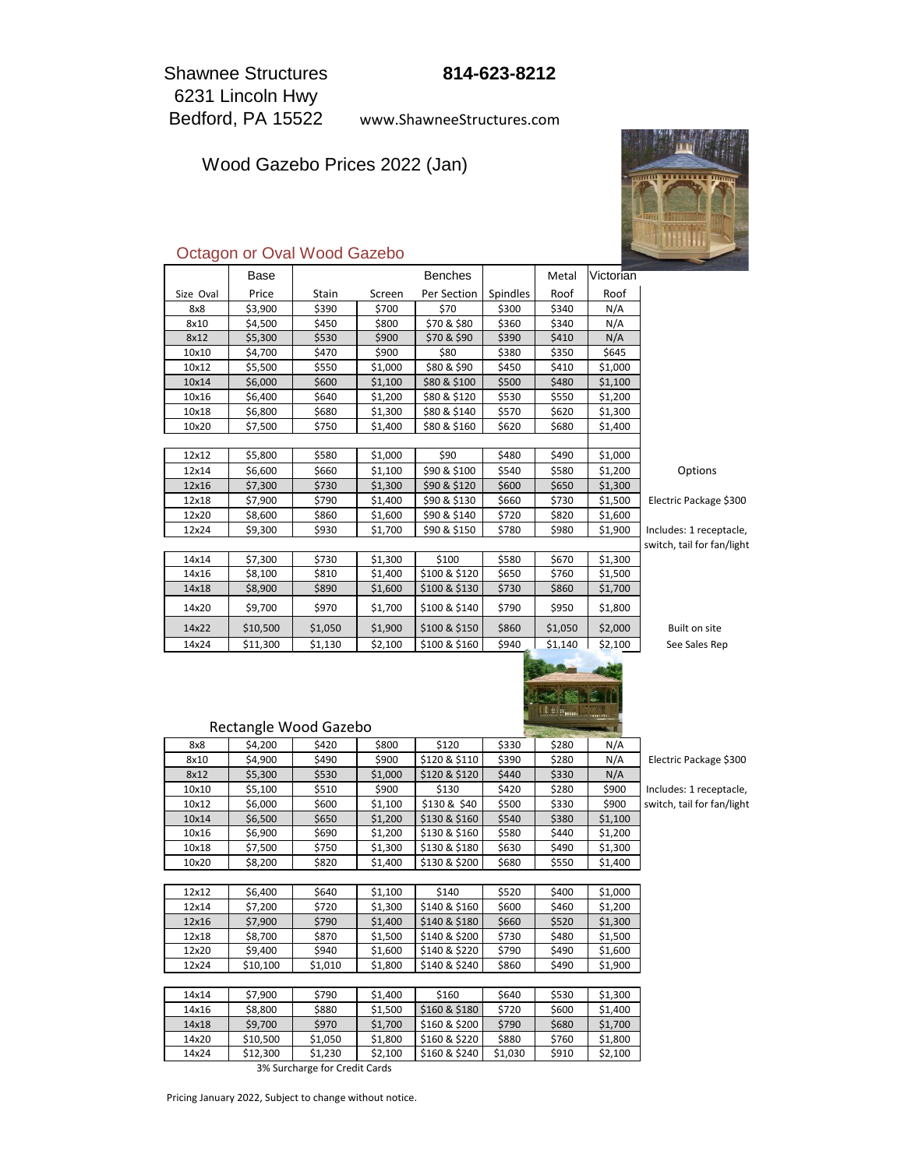6231 Lincoln Hwy Bedford, PA 15522 Shawnee Structures

www.ShawneeStructures.com

Wood Gazebo Prices 2022 (Jan)



### Octagon or Oval Wood Gazebo

|           | Base     |                       |         | <b>Benches</b> |          | Metal   | Victorian |                            |
|-----------|----------|-----------------------|---------|----------------|----------|---------|-----------|----------------------------|
| Size Oval | Price    | Stain                 | Screen  | Per Section    | Spindles | Roof    | Roof      |                            |
| 8x8       | \$3,900  | \$390                 | \$700   | \$70           | \$300    | \$340   | N/A       |                            |
| 8x10      | \$4,500  | \$450                 | \$800   | \$70 & \$80    | \$360    | \$340   | N/A       |                            |
| 8x12      | \$5,300  | \$530                 | \$900   | \$70 & \$90    | \$390    | \$410   | N/A       |                            |
| 10x10     | \$4,700  | \$470                 | \$900   | \$80           | \$380    | \$350   | \$645     |                            |
| 10x12     | \$5,500  | \$550                 | \$1,000 | \$80 & \$90    | \$450    | \$410   | \$1,000   |                            |
| 10x14     | \$6,000  | \$600                 | \$1,100 | \$80 & \$100   | \$500    | \$480   | \$1,100   |                            |
| 10x16     | \$6,400  | \$640                 | \$1,200 | \$80 & \$120   | \$530    | \$550   | \$1,200   |                            |
| 10x18     | \$6,800  | \$680                 | \$1,300 | \$80 & \$140   | \$570    | \$620   | \$1,300   |                            |
| 10x20     | \$7,500  | \$750                 | \$1,400 | \$80 & \$160   | \$620    | \$680   | \$1,400   |                            |
|           |          |                       |         |                |          |         |           |                            |
| 12x12     | \$5,800  | \$580                 | \$1,000 | \$90           | \$480    | \$490   | \$1,000   |                            |
| 12x14     | \$6,600  | \$660                 | \$1,100 | \$90 & \$100   | \$540    | \$580   | \$1,200   | Options                    |
| 12x16     | \$7,300  | \$730                 | \$1,300 | \$90 & \$120   | \$600    | \$650   | \$1,300   |                            |
| 12x18     | \$7,900  | \$790                 | \$1,400 | \$90 & \$130   | \$660    | \$730   | \$1,500   | Electric Package \$300     |
| 12x20     | \$8,600  | \$860                 | \$1,600 | \$90 & \$140   | \$720    | \$820   | \$1,600   |                            |
| 12x24     | \$9,300  | \$930                 | \$1,700 | \$90 & \$150   | \$780    | \$980   | \$1,900   | Includes: 1 receptacle,    |
|           |          |                       |         |                |          |         |           | switch, tail for fan/light |
| 14x14     | \$7,300  | \$730                 | \$1,300 | \$100          | \$580    | \$670   | \$1,300   |                            |
| 14x16     | \$8,100  | \$810                 | \$1,400 | \$100 & \$120  | \$650    | \$760   | \$1,500   |                            |
| 14x18     | \$8,900  | \$890                 | \$1,600 | \$100 & \$130  | \$730    | \$860   | \$1,700   |                            |
| 14x20     | \$9,700  | \$970                 | \$1,700 | \$100 & \$140  | \$790    | \$950   | \$1,800   |                            |
| 14x22     | \$10,500 | \$1,050               | \$1,900 | \$100 & \$150  | \$860    | \$1,050 | \$2,000   | Built on site              |
| 14x24     | \$11,300 | \$1,130               | \$2,100 | \$100 & \$160  | \$940    | \$1.140 | \$2.100   | See Sales Rep              |
|           |          | Rectangle Wood Gazebo |         |                |          |         |           |                            |
| 8x8       | \$4,200  | \$420                 | \$800   | \$120          | \$330    | \$280   | N/A       |                            |
| 8x10      | \$4,900  | \$490                 | \$900   | \$120 & \$110  | \$390    | \$280   | N/A       | Electric Package \$300     |
| 8x12      | \$5,300  | \$530                 | \$1,000 | \$120 & \$120  | \$440    | \$330   | N/A       |                            |
| 10x10     | \$5,100  | \$510                 | \$900   | \$130          | \$420    | \$280   | \$900     | Includes: 1 receptacle,    |
| 10x12     | \$6,000  | \$600                 | \$1,100 | \$130 & \$40   | \$500    | \$330   | \$900     | switch, tail for fan/light |
| 10x14     | \$6,500  | \$650                 | \$1,200 | \$130 & \$160  | \$540    | \$380   | \$1,100   |                            |
| 10x16     | \$6,900  | \$690                 | \$1,200 | \$130 & \$160  | \$580    | \$440   | \$1,200   |                            |
| 10x18     | \$7,500  | \$750                 | \$1,300 | \$130 & \$180  | \$630    | \$490   | \$1,300   |                            |
| 10x20     | \$8,200  | \$820                 | \$1,400 | \$130 & \$200  | \$680    | \$550   | \$1,400   |                            |
|           |          |                       |         |                |          |         |           |                            |
| 12x12     | \$6,400  | \$640                 | \$1,100 | \$140          | \$520    | \$400   | \$1,000   |                            |
| 12x14     | \$7,200  | \$720                 | \$1,300 | \$140 & \$160  | \$600    | \$460   | \$1,200   |                            |
| 12x16     | \$7,900  | \$790                 | \$1,400 | \$140 & \$180  | \$660    | \$520   | \$1,300   |                            |
| 12x18     | \$8,700  | \$870                 | \$1,500 | \$140 & \$200  | \$730    | \$480   | \$1,500   |                            |
| 12x20     | \$9,400  | \$940                 | \$1,600 | \$140 & \$220  | \$790    | \$490   | \$1,600   |                            |
| 12x24     | \$10,100 | \$1,010               | \$1,800 | \$140 & \$240  | \$860    | \$490   | \$1,900   |                            |
|           |          |                       |         |                |          |         |           |                            |
| 14x14     | \$7,900  | \$790                 | \$1,400 | \$160          | \$640    | \$530   | \$1,300   |                            |
| 14x16     | \$8,800  | \$880                 | \$1,500 | \$160 & \$180  | \$720    | \$600   | \$1,400   |                            |

3% Surcharge for Credit Cards

 $14x18$   $\frac{1}{59,700}$   $\frac{1}{5970}$   $\frac{1}{51,700}$   $\frac{1}{5160}$  & \$200  $\frac{1}{5790}$  \$680  $\frac{1}{51,700}$ 14x20 \$10,500 \$1,050 \$1,800 \$160 & \$220 \$880 \$760 \$1,800 14x24 \$12,300 \$1,230 \$2,100 \$160 & \$240 \$1,030 \$910 \$2,100

Pricing January 2022, Subject to change without notice.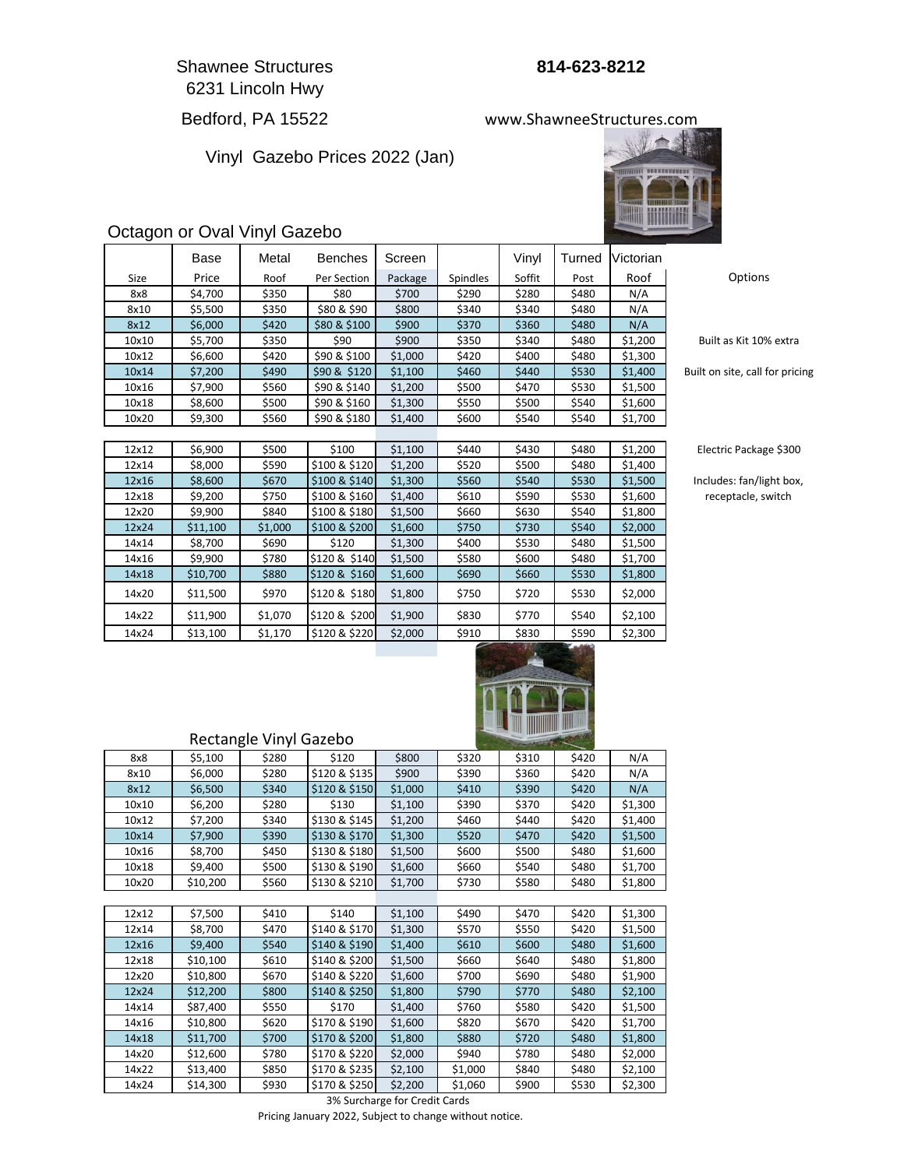Shawnee Structures **814-623-8212** 6231 Lincoln Hwy

# Bedford, PA 15522

Vinyl Gazebo Prices 2022 (Jan)





## Octagon or Oval Vinyl Gazebo

|             | Base     | Metal   | Benches       | Screen  |                 | Vinyl  | Turned        | Victorian |                            |
|-------------|----------|---------|---------------|---------|-----------------|--------|---------------|-----------|----------------------------|
| <b>Size</b> | Price    | Roof    | Per Section   | Package | <b>Spindles</b> | Soffit | Post          | Roof      | Options                    |
| 8x8         | \$4,700  | \$350   | \$80          | \$700   | \$290           | \$280  | \$480         | N/A       |                            |
| 8x10        | \$5,500  | \$350   | \$80 & \$90   | \$800   | \$340           | \$340  | \$480         | N/A       |                            |
| 8x12        | \$6,000  | \$420   | \$80 & \$100  | \$900   | \$370           | \$360  | \$480         | N/A       |                            |
| 10x10       | \$5,700  | \$350   | \$90          | \$900   | \$350           | \$340  | \$480         | \$1,200   | Built as Kit 10% ext       |
| 10x12       | \$6,600  | \$420   | \$90 & \$100  | \$1,000 | \$420           | \$400  | \$480         | \$1,300   |                            |
| 10x14       | \$7,200  | \$490   | \$90 & \$120  | \$1,100 | \$460           | \$440  | \$530         | \$1,400   | Built on site, call for pr |
| 10x16       | \$7,900  | \$560   | \$90 & \$140  | \$1,200 | \$500           | \$470  | \$530         | \$1,500   |                            |
| 10x18       | \$8,600  | \$500   | \$90 & \$160  | \$1,300 | \$550           | \$500  | \$540         | \$1,600   |                            |
| 10x20       | \$9,300  | \$560   | \$90 & \$180  | \$1,400 | \$600           | \$540  | \$540         | \$1,700   |                            |
|             |          |         |               |         |                 |        |               |           |                            |
| 12x12       | \$6,900  | \$500   | \$100         | \$1,100 | \$440           | \$430  | \$480         | \$1,200   | Electric Package \$3       |
| 12x14       | \$8,000  | \$590   | \$100 & \$120 | \$1,200 | \$520           | \$500  | \$480         | \$1,400   |                            |
| 12x16       | \$8,600  | \$670   | \$100 & \$140 | \$1,300 | \$560           | \$540  | \$530         | \$1,500   | Includes: fan/light be     |
| 12x18       | \$9,200  | \$750   | \$100 & \$160 | \$1,400 | \$610           | \$590  | \$530         | \$1,600   | receptacle, switch         |
| 12x20       | \$9,900  | \$840   | \$100 & \$180 | \$1,500 | \$660           | \$630  | \$540         | \$1,800   |                            |
| 12x24       | \$11,100 | \$1,000 | \$100 & \$200 | \$1,600 | \$750           | \$730  | \$540         | \$2,000   |                            |
| 14x14       | \$8,700  | \$690   | \$120         | \$1,300 | \$400           | \$530  | \$480         | \$1,500   |                            |
| 14x16       | \$9,900  | \$780   | \$120 & \$140 | \$1,500 | \$580           | \$600  | \$480         | \$1,700   |                            |
| 14x18       | \$10,700 | \$880   | \$120 & \$160 | \$1,600 | \$690           | \$660  | \$530         | \$1,800   |                            |
| 14x20       | \$11,500 | \$970   | \$120 & \$180 | \$1,800 | \$750           | \$720  | \$530         | \$2,000   |                            |
| 14x22       | \$11,900 | \$1,070 | \$120 & \$200 | \$1,900 | \$830           | \$770  | \$540         | \$2,100   |                            |
| 14x24       | \$13,100 | \$1,170 | \$120 & \$220 | \$2,000 | \$910           | \$830  | \$590         | \$2,300   |                            |
|             |          |         |               |         | -               |        | <b>PALOMA</b> |           |                            |

Built as Kit 10% extra

ricing

#### $600$

IOX,

| 8x8   | \$5,100  | \$280 | \$120         | \$800   | \$320   | \$310 | \$420 | N/A     |
|-------|----------|-------|---------------|---------|---------|-------|-------|---------|
| 8x10  | \$6,000  | \$280 | \$120 & \$135 | \$900   | \$390   | \$360 | \$420 | N/A     |
| 8x12  | \$6,500  | \$340 | \$120 & \$150 | \$1,000 | \$410   | \$390 | \$420 | N/A     |
| 10x10 | \$6,200  | \$280 | \$130         | \$1,100 | \$390   | \$370 | \$420 | \$1,300 |
| 10x12 | \$7,200  | \$340 | \$130 & \$145 | \$1,200 | \$460   | \$440 | \$420 | \$1,400 |
| 10x14 | \$7,900  | \$390 | \$130 & \$170 | \$1,300 | \$520   | \$470 | \$420 | \$1,500 |
| 10x16 | \$8,700  | \$450 | \$130 & \$180 | \$1,500 | \$600   | \$500 | \$480 | \$1,600 |
| 10x18 | \$9,400  | \$500 | \$130 & \$190 | \$1,600 | \$660   | \$540 | \$480 | \$1,700 |
| 10x20 | \$10,200 | \$560 | \$130 & \$210 | \$1,700 | \$730   | \$580 | \$480 | \$1,800 |
|       |          |       |               |         |         |       |       |         |
| 12x12 | \$7,500  | \$410 | \$140         | \$1,100 | \$490   | \$470 | \$420 | \$1,300 |
| 12x14 | \$8,700  | \$470 | \$140 & \$170 | \$1,300 | \$570   | \$550 | \$420 | \$1,500 |
| 12x16 | \$9,400  | \$540 | \$140 & \$190 | \$1,400 | \$610   | \$600 | \$480 | \$1,600 |
| 12x18 | \$10,100 | \$610 | \$140 & \$200 | \$1,500 | \$660   | \$640 | \$480 | \$1,800 |
| 12x20 | \$10,800 | \$670 | \$140 & \$220 | \$1,600 | \$700   | \$690 | \$480 | \$1,900 |
| 12x24 | \$12,200 | \$800 | \$140 & \$250 | \$1,800 | \$790   | \$770 | \$480 | \$2,100 |
| 14x14 | \$87,400 | \$550 | \$170         | \$1,400 | \$760   | \$580 | \$420 | \$1,500 |
| 14x16 | \$10,800 | \$620 | \$170 & \$190 | \$1,600 | \$820   | \$670 | \$420 | \$1,700 |
| 14x18 | \$11,700 | \$700 | \$170 & \$200 | \$1,800 | \$880   | \$720 | \$480 | \$1,800 |
| 14x20 | \$12,600 | \$780 | \$170 & \$220 | \$2,000 | \$940   | \$780 | \$480 | \$2,000 |
| 14x22 | \$13,400 | \$850 | \$170 & \$235 | \$2,100 | \$1,000 | \$840 | \$480 | \$2,100 |
| 14x24 | \$14,300 | \$930 | \$170 & \$250 | \$2,200 | \$1,060 | \$900 | \$530 | \$2,300 |

Rectangle Vinyl Gazebo

Pricing January 2022, Subject to change without notice. 3% Surcharge for Credit Cards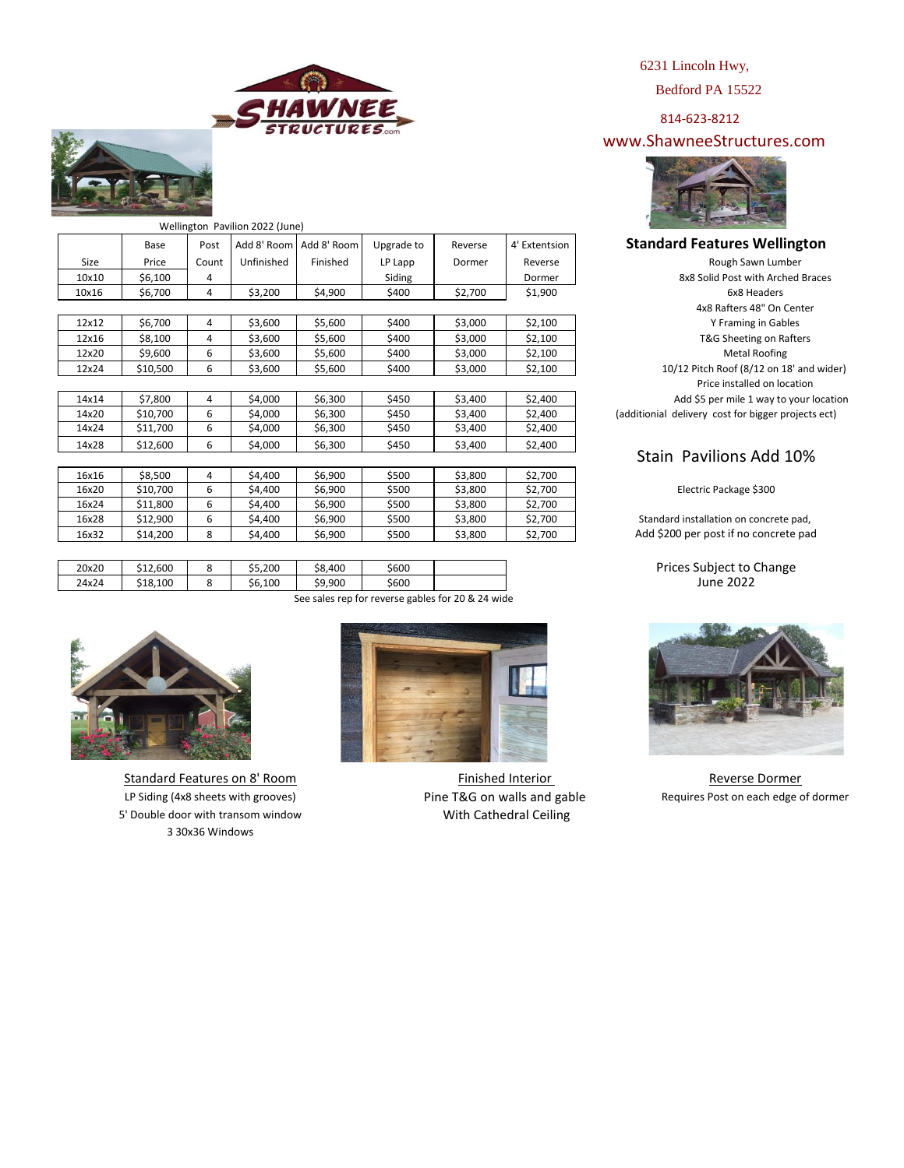



|       |          |       | Wellington Pavilion 2022 (June) |             |            |         |               |
|-------|----------|-------|---------------------------------|-------------|------------|---------|---------------|
|       | Base     | Post  | Add 8' Room                     | Add 8' Room | Upgrade to | Reverse | 4' Extentsion |
| Size  | Price    | Count | Unfinished                      | Finished    | LP Lapp    | Dormer  | Reverse       |
| 10×10 | \$6,100  | 4     |                                 |             | Siding     |         | Dormer        |
| 10x16 | \$6,700  | 4     | \$3,200                         | \$4,900     | \$400      | \$2,700 | \$1,900       |
|       |          |       |                                 |             |            |         |               |
| 12x12 | \$6,700  | 4     | \$3,600                         | \$5,600     | \$400      | \$3,000 | \$2,100       |
| 12x16 | \$8,100  | 4     | \$3,600                         | \$5,600     | \$400      | \$3,000 | \$2,100       |
| 12x20 | \$9,600  | 6     | \$3,600                         | \$5,600     | \$400      | \$3,000 | \$2,100       |
| 12x24 | \$10,500 | 6     | \$3,600                         | \$5,600     | \$400      | \$3,000 | \$2,100       |
|       |          |       |                                 |             |            |         |               |
| 14x14 | \$7,800  | 4     | \$4,000                         | \$6,300     | \$450      | \$3,400 | \$2,400       |
| 14x20 | \$10,700 | 6     | \$4,000                         | \$6,300     | \$450      | \$3,400 | \$2,400       |
| 14x24 | \$11,700 | 6     | \$4,000                         | \$6,300     | \$450      | \$3,400 | \$2,400       |
| 14x28 | \$12,600 | 6     | \$4,000                         | \$6,300     | \$450      | \$3,400 | \$2,400       |
|       |          |       |                                 |             |            |         |               |
| 16x16 | \$8,500  | 4     | \$4,400                         | \$6,900     | \$500      | \$3,800 | \$2,700       |
| 16x20 | \$10,700 | 6     | \$4,400                         | \$6,900     | \$500      | \$3,800 | \$2,700       |
| 16x24 | \$11,800 | 6     | \$4,400                         | \$6,900     | \$500      | \$3,800 | \$2,700       |
| 16x28 | \$12,900 | 6     | \$4,400                         | \$6,900     | \$500      | \$3,800 | \$2,700       |
| 16x32 | \$14,200 | 8     | \$4,400                         | \$6,900     | \$500      | \$3,800 | \$2,700       |
|       |          |       |                                 |             |            |         |               |
|       |          |       |                                 |             |            |         |               |

20x20 \$12,600 8 \$5,200 \$8,400 \$600 24x24 | \$18,100 | 8 | \$6,100 | \$9,900 | \$600 See sales rep for reverse gables for 20 & 24 wide



5' Double door with transom window 3 30x36 Windows Standard Features on 8' Room



With Cathedral Ceiling Finished Interior Pine T&G on walls and gable 6231 Lincoln Hwy,

Bedford PA 15522

814-623-8212

www.ShawneeStructures.com



#### **Standard Features Wellington**

Price installed on location 10/12 Pitch Roof (8/12 on 18' and wider) 6x8 Headers 8x8 Solid Post with Arched Braces Metal Roofing Rough Sawn Lumber 4x8 Rafters 48" On Center Y Framing in Gables T&G Sheeting on Rafters Add \$5 per mile 1 way to your location (additionial delivery cost for bigger projects ect)

## Stain Pavilions Add 10%

Electric Package \$300

Standard installation on concrete pad, Add \$200 per post if no concrete pad

> June 2022 Prices Subject to Change



Reverse Dormer LP Siding (4x8 sheets with grooves) **Requires Post on each edge of dormer** Post on each edge of dormer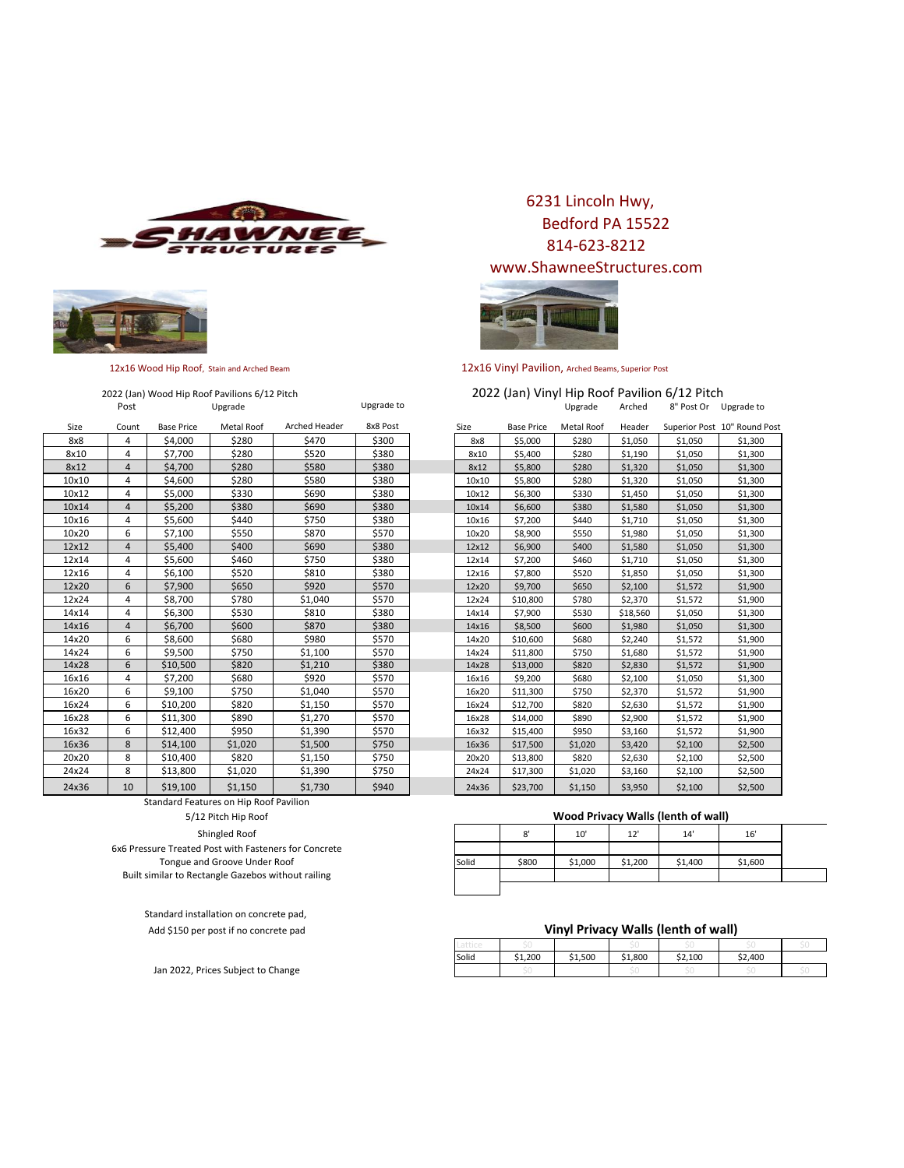



# 2022 (Jan) Wood Hip Roof Pavilions 6/12 Pitch

| Size  | Count | <b>Base Price</b> | Metal Roof | Arched Header | 8x8 Post | Size  | <b>Base Price</b> | <b>Metal Roof</b> | Header   |         | Superior Post 10" Round Post |
|-------|-------|-------------------|------------|---------------|----------|-------|-------------------|-------------------|----------|---------|------------------------------|
| 8x8   | 4     | \$4,000           | \$280      | \$470         | \$300    | 8x8   | \$5,000           | \$280             | \$1,050  | \$1,050 | \$1,300                      |
| 8x10  | 4     | \$7,700           | \$280      | \$520         | \$380    | 8x10  | \$5,400           | \$280             | \$1,190  | \$1,050 | \$1,300                      |
| 8x12  | 4     | \$4,700           | \$280      | \$580         | \$380    | 8x12  | \$5,800           | \$280             | \$1,320  | \$1,050 | \$1,300                      |
| 10x10 | 4     | \$4,600           | \$280      | \$580         | \$380    | 10×10 | \$5,800           | \$280             | \$1,320  | \$1,050 | \$1,300                      |
| 10x12 | 4     | \$5,000           | \$330      | \$690         | \$380    | 10x12 | \$6,300           | \$330             | \$1,450  | \$1,050 | \$1,300                      |
| 10x14 | 4     | \$5,200           | \$380      | \$690         | \$380    | 10x14 | \$6,600           | \$380             | \$1,580  | \$1,050 | \$1,300                      |
| 10x16 | 4     | \$5,600           | \$440      | \$750         | \$380    | 10x16 | \$7,200           | \$440             | \$1,710  | \$1,050 | \$1,300                      |
| 10x20 | 6     | \$7,100           | \$550      | \$870         | \$570    | 10x20 | \$8,900           | \$550             | \$1,980  | \$1,050 | \$1,300                      |
| 12x12 | 4     | \$5,400           | \$400      | \$690         | \$380    | 12x12 | \$6,900           | \$400             | \$1,580  | \$1,050 | \$1,300                      |
| 12x14 | 4     | \$5,600           | \$460      | \$750         | \$380    | 12x14 | \$7,200           | \$460             | \$1,710  | \$1,050 | \$1,300                      |
| 12x16 | 4     | \$6,100           | \$520      | \$810         | \$380    | 12x16 | \$7,800           | \$520             | \$1,850  | \$1,050 | \$1,300                      |
| 12x20 | 6     | \$7,900           | \$650      | \$920         | \$570    | 12x20 | \$9,700           | \$650             | \$2,100  | \$1,572 | \$1,900                      |
| 12x24 | 4     | \$8,700           | \$780      | \$1,040       | \$570    | 12x24 | \$10,800          | \$780             | \$2,370  | \$1,572 | \$1,900                      |
| 14x14 | 4     | \$6,300           | \$530      | \$810         | \$380    | 14x14 | \$7,900           | \$530             | \$18,560 | \$1,050 | \$1,300                      |
| 14x16 | 4     | \$6,700           | \$600      | \$870         | \$380    | 14x16 | \$8,500           | \$600             | \$1,980  | \$1,050 | \$1,300                      |
| 14x20 | 6     | \$8,600           | \$680      | \$980         | \$570    | 14x20 | \$10,600          | \$680             | \$2,240  | \$1,572 | \$1,900                      |
| 14x24 | 6     | \$9,500           | \$750      | \$1,100       | \$570    | 14x24 | \$11,800          | \$750             | \$1,680  | \$1,572 | \$1,900                      |
| 14x28 | 6     | \$10,500          | \$820      | \$1,210       | \$380    | 14x28 | \$13,000          | \$820             | \$2,830  | \$1,572 | \$1,900                      |
| 16x16 | 4     | \$7,200           | \$680      | \$920         | \$570    | 16x16 | \$9,200           | \$680             | \$2,100  | \$1,050 | \$1,300                      |
| 16x20 | 6     | \$9,100           | \$750      | \$1,040       | \$570    | 16x20 | \$11,300          | \$750             | \$2,370  | \$1,572 | \$1,900                      |
| 16x24 | 6     | \$10,200          | \$820      | \$1,150       | \$570    | 16x24 | \$12,700          | \$820             | \$2,630  | \$1,572 | \$1,900                      |
| 16x28 | 6     | \$11,300          | \$890      | \$1,270       | \$570    | 16x28 | \$14,000          | \$890             | \$2,900  | \$1,572 | \$1,900                      |
| 16x32 | 6     | \$12,400          | \$950      | \$1,390       | \$570    | 16x32 | \$15,400          | \$950             | \$3,160  | \$1,572 | \$1,900                      |
| 16x36 | 8     | \$14,100          | \$1,020    | \$1,500       | \$750    | 16x36 | \$17,500          | \$1,020           | \$3,420  | \$2,100 | \$2,500                      |
| 20x20 | 8     | \$10,400          | \$820      | \$1,150       | \$750    | 20x20 | \$13,800          | \$820             | \$2,630  | \$2,100 | \$2,500                      |
| 24x24 | 8     | \$13,800          | \$1,020    | \$1,390       | \$750    | 24x24 | \$17,300          | \$1,020           | \$3,160  | \$2,100 | \$2,500                      |
| 24x36 | 10    | \$19,100          | \$1,150    | \$1,730       | \$940    | 24x36 | \$23,700          | \$1,150           | \$3,950  | \$2,100 | \$2,500                      |

6231 Lincoln Hwy, Bedford PA 15522 814-623-8212 www.ShawneeStructures.com



12x16 Wood Hip Roof, Stain and Arched Beam 12x16 Vinyl Pavilion, Arched Beams, Superior Post

Post Contract Upgrade Contract Upgrade Upgrade Contract Contract Contract Upgrade Arched 8" Post Or Upgrade to 2022 (Jan) Vinyl Hip Roof Pavilion 6/12 Pitch

| Size  | <b>Base Price</b> | Metal Roof | Header   |         | Superior Post 10" Round Post |
|-------|-------------------|------------|----------|---------|------------------------------|
| 8x8   | \$5,000           | \$280      | \$1,050  | \$1,050 | \$1,300                      |
| 8x10  | \$5,400           | \$280      | \$1,190  | \$1,050 | \$1,300                      |
| 8x12  | \$5,800           | \$280      | \$1,320  | \$1,050 | \$1,300                      |
| 10x10 | \$5,800           | \$280      | \$1,320  | \$1,050 | \$1,300                      |
| 10x12 | \$6,300           | \$330      | \$1,450  | \$1,050 | \$1,300                      |
| 10x14 | \$6,600           | \$380      | \$1,580  | \$1,050 | \$1,300                      |
| 10x16 | \$7,200           | \$440      | \$1,710  | \$1,050 | \$1,300                      |
| 10x20 | \$8,900           | \$550      | \$1,980  | \$1,050 | \$1,300                      |
| 12x12 | \$6,900           | \$400      | \$1,580  | \$1,050 | \$1,300                      |
| 12x14 | \$7,200           | \$460      | \$1,710  | \$1,050 | \$1,300                      |
| 12x16 | \$7,800           | \$520      | \$1,850  | \$1,050 | \$1,300                      |
| 12x20 | \$9,700           | \$650      | \$2,100  | \$1,572 | \$1,900                      |
| 12x24 | \$10,800          | \$780      | \$2,370  | \$1,572 | \$1,900                      |
| 14x14 | \$7,900           | \$530      | \$18,560 | \$1,050 | \$1,300                      |
| 14x16 | \$8,500           | \$600      | \$1,980  | \$1,050 | \$1,300                      |
| 14x20 | \$10,600          | \$680      | \$2,240  | \$1,572 | \$1,900                      |
| 14x24 | \$11,800          | \$750      | \$1,680  | \$1,572 | \$1,900                      |
| 14x28 | \$13,000          | \$820      | \$2,830  | \$1,572 | \$1,900                      |
| 16x16 | \$9,200           | \$680      | \$2,100  | \$1,050 | \$1,300                      |
| 16x20 | \$11,300          | \$750      | \$2,370  | \$1,572 | \$1,900                      |
| 16x24 | \$12,700          | \$820      | \$2,630  | \$1,572 | \$1,900                      |
| 16x28 | \$14,000          | \$890      | \$2,900  | \$1,572 | \$1,900                      |
| 16x32 | \$15,400          | \$950      | \$3,160  | \$1,572 | \$1,900                      |
| 16x36 | \$17,500          | \$1,020    | \$3,420  | \$2,100 | \$2,500                      |
| 20x20 | \$13,800          | \$820      | \$2,630  | \$2,100 | \$2,500                      |
| 24x24 | \$17,300          | \$1,020    | \$3,160  | \$2,100 | \$2,500                      |
| 24x36 | \$23,700          | \$1,150    | \$3,950  | \$2,100 | \$2,500                      |

#### **Wood Privacy Walls (lenth of wall)**

|       | 8'    | 10'     | 12'     | 14'     | 16'     |  |
|-------|-------|---------|---------|---------|---------|--|
|       |       |         |         |         |         |  |
| Solid | \$800 | \$1,000 | \$1,200 | \$1,400 | \$1,600 |  |
|       |       |         |         |         |         |  |
|       |       |         |         |         |         |  |

Standard installation on concrete pad, Add \$150 per post if no concrete pad

Standard Features on Hip Roof Pavilion 5/12 Pitch Hip Roof Shingled Roof 6x6 Pressure Treated Post with Fasteners for Concrete Tongue and Groove Under Roof Built similar to Rectangle Gazebos without railing

Jan 2022, Prices Subject to Change

#### **Vinyl Privacy Walls (lenth of wall)**

| Solid | L.200 | 1.500 | .800 | \$2.100 | \$2.400 |  |
|-------|-------|-------|------|---------|---------|--|
|       |       |       |      |         |         |  |